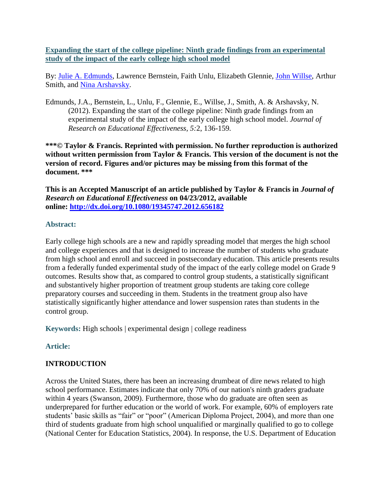**Expanding the start of the college pipeline: Ninth grade findings from an experimental study of the impact of the early college high school model**

By: [Julie A. Edmunds,](http://libres.uncg.edu/ir/uncg/clist.aspx?id=9923) Lawrence Bernstein, Faith Unlu, Elizabeth Glennie, [John Willse,](http://libres.uncg.edu/ir/uncg/clist.aspx?id=1029) Arthur Smith, and [Nina Arshavsky.](http://libres.uncg.edu/ir/uncg/clist.aspx?id=8410)

Edmunds, J.A., Bernstein, L., Unlu, F., Glennie, E., Willse, J., Smith, A. & Arshavsky, N. (2012). Expanding the start of the college pipeline: Ninth grade findings from an experimental study of the impact of the early college high school model. *Journal of Research on Educational Effectiveness, 5:*2, 136-159*.*

**\*\*\*© Taylor & Francis. Reprinted with permission. No further reproduction is authorized without written permission from Taylor & Francis. This version of the document is not the version of record. Figures and/or pictures may be missing from this format of the document. \*\*\***

**This is an Accepted Manuscript of an article published by Taylor & Francis in** *Journal of Research on Educational Effectiveness* **on 04/23/2012, available online: <http://dx.doi.org/10.1080/19345747.2012.656182>**

### **Abstract:**

Early college high schools are a new and rapidly spreading model that merges the high school and college experiences and that is designed to increase the number of students who graduate from high school and enroll and succeed in postsecondary education. This article presents results from a federally funded experimental study of the impact of the early college model on Grade 9 outcomes. Results show that, as compared to control group students, a statistically significant and substantively higher proportion of treatment group students are taking core college preparatory courses and succeeding in them. Students in the treatment group also have statistically significantly higher attendance and lower suspension rates than students in the control group.

**Keywords:** High schools | experimental design | college readiness

# **Article:**

# **INTRODUCTION**

Across the United States, there has been an increasing drumbeat of dire news related to high school performance. Estimates indicate that only 70% of our nation's ninth graders graduate within 4 years (Swanson, 2009). Furthermore, those who do graduate are often seen as underprepared for further education or the world of work. For example, 60% of employers rate students' basic skills as "fair" or "poor" (American Diploma Project, 2004), and more than one third of students graduate from high school unqualified or marginally qualified to go to college (National Center for Education Statistics, 2004). In response, the U.S. Department of Education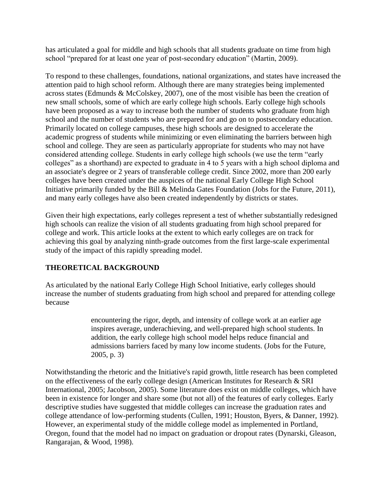has articulated a goal for middle and high schools that all students graduate on time from high school "prepared for at least one year of post-secondary education" (Martin, 2009).

To respond to these challenges, foundations, national organizations, and states have increased the attention paid to high school reform. Although there are many strategies being implemented across states (Edmunds & McColskey, 2007), one of the most visible has been the creation of new small schools, some of which are early college high schools. Early college high schools have been proposed as a way to increase both the number of students who graduate from high school and the number of students who are prepared for and go on to postsecondary education. Primarily located on college campuses, these high schools are designed to accelerate the academic progress of students while minimizing or even eliminating the barriers between high school and college. They are seen as particularly appropriate for students who may not have considered attending college. Students in early college high schools (we use the term "early colleges" as a shorthand) are expected to graduate in 4 to 5 years with a high school diploma and an associate's degree or 2 years of transferable college credit. Since 2002, more than 200 early colleges have been created under the auspices of the national Early College High School Initiative primarily funded by the Bill & Melinda Gates Foundation (Jobs for the Future, 2011), and many early colleges have also been created independently by districts or states.

Given their high expectations, early colleges represent a test of whether substantially redesigned high schools can realize the vision of all students graduating from high school prepared for college and work. This article looks at the extent to which early colleges are on track for achieving this goal by analyzing ninth-grade outcomes from the first large-scale experimental study of the impact of this rapidly spreading model.

# **THEORETICAL BACKGROUND**

As articulated by the national Early College High School Initiative, early colleges should increase the number of students graduating from high school and prepared for attending college because

> encountering the rigor, depth, and intensity of college work at an earlier age inspires average, underachieving, and well-prepared high school students. In addition, the early college high school model helps reduce financial and admissions barriers faced by many low income students. (Jobs for the Future, 2005, p. 3)

Notwithstanding the rhetoric and the Initiative's rapid growth, little research has been completed on the effectiveness of the early college design (American Institutes for Research & SRI International, 2005; Jacobson, 2005). Some literature does exist on middle colleges, which have been in existence for longer and share some (but not all) of the features of early colleges. Early descriptive studies have suggested that middle colleges can increase the graduation rates and college attendance of low-performing students (Cullen, 1991; Houston, Byers, & Danner, 1992). However, an experimental study of the middle college model as implemented in Portland, Oregon, found that the model had no impact on graduation or dropout rates (Dynarski, Gleason, Rangarajan, & Wood, 1998).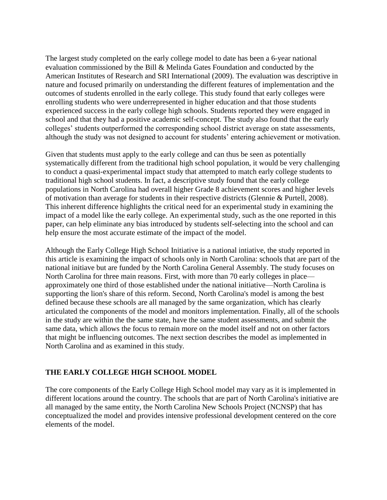The largest study completed on the early college model to date has been a 6-year national evaluation commissioned by the Bill & Melinda Gates Foundation and conducted by the American Institutes of Research and SRI International (2009). The evaluation was descriptive in nature and focused primarily on understanding the different features of implementation and the outcomes of students enrolled in the early college. This study found that early colleges were enrolling students who were underrepresented in higher education and that those students experienced success in the early college high schools. Students reported they were engaged in school and that they had a positive academic self-concept. The study also found that the early colleges' students outperformed the corresponding school district average on state assessments, although the study was not designed to account for students' entering achievement or motivation.

Given that students must apply to the early college and can thus be seen as potentially systematically different from the traditional high school population, it would be very challenging to conduct a quasi-experimental impact study that attempted to match early college students to traditional high school students. In fact, a descriptive study found that the early college populations in North Carolina had overall higher Grade 8 achievement scores and higher levels of motivation than average for students in their respective districts (Glennie & Purtell, 2008). This inherent difference highlights the critical need for an experimental study in examining the impact of a model like the early college. An experimental study, such as the one reported in this paper, can help eliminate any bias introduced by students self-selecting into the school and can help ensure the most accurate estimate of the impact of the model.

Although the Early College High School Initiative is a national intiative, the study reported in this article is examining the impact of schools only in North Carolina: schools that are part of the national initiave but are funded by the North Carolina General Assembly. The study focuses on North Carolina for three main reasons. First, with more than 70 early colleges in place approximately one third of those established under the national initiative—North Carolina is supporting the lion's share of this reform. Second, North Carolina's model is among the best defined because these schools are all managed by the same organization, which has clearly articulated the components of the model and monitors implementation. Finally, all of the schools in the study are within the the same state, have the same student assessments, and submit the same data, which allows the focus to remain more on the model itself and not on other factors that might be influencing outcomes. The next section describes the model as implemented in North Carolina and as examined in this study.

#### **THE EARLY COLLEGE HIGH SCHOOL MODEL**

The core components of the Early College High School model may vary as it is implemented in different locations around the country. The schools that are part of North Carolina's initiative are all managed by the same entity, the North Carolina New Schools Project (NCNSP) that has conceptualized the model and provides intensive professional development centered on the core elements of the model.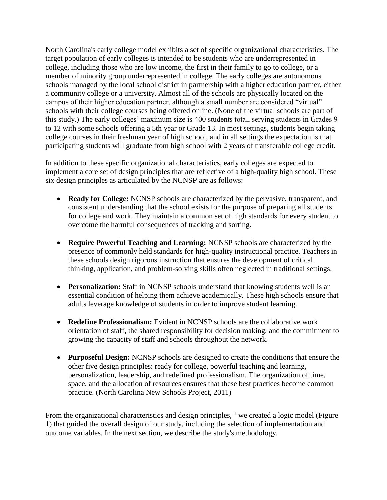North Carolina's early college model exhibits a set of specific organizational characteristics. The target population of early colleges is intended to be students who are underrepresented in college, including those who are low income, the first in their family to go to college, or a member of minority group underrepresented in college. The early colleges are autonomous schools managed by the local school district in partnership with a higher education partner, either a community college or a university. Almost all of the schools are physically located on the campus of their higher education partner, although a small number are considered "virtual" schools with their college courses being offered online. (None of the virtual schools are part of this study.) The early colleges' maximum size is 400 students total, serving students in Grades 9 to 12 with some schools offering a 5th year or Grade 13. In most settings, students begin taking college courses in their freshman year of high school, and in all settings the expectation is that participating students will graduate from high school with 2 years of transferable college credit.

In addition to these specific organizational characteristics, early colleges are expected to implement a core set of design principles that are reflective of a high-quality high school. These six design principles as articulated by the NCNSP are as follows:

- **Ready for College:** NCNSP schools are characterized by the pervasive, transparent, and consistent understanding that the school exists for the purpose of preparing all students for college and work. They maintain a common set of high standards for every student to overcome the harmful consequences of tracking and sorting.
- **Require Powerful Teaching and Learning:** NCNSP schools are characterized by the presence of commonly held standards for high-quality instructional practice. Teachers in these schools design rigorous instruction that ensures the development of critical thinking, application, and problem-solving skills often neglected in traditional settings.
- **Personalization:** Staff in NCNSP schools understand that knowing students well is an essential condition of helping them achieve academically. These high schools ensure that adults leverage knowledge of students in order to improve student learning.
- **Redefine Professionalism:** Evident in NCNSP schools are the collaborative work orientation of staff, the shared responsibility for decision making, and the commitment to growing the capacity of staff and schools throughout the network.
- **Purposeful Design:** NCNSP schools are designed to create the conditions that ensure the other five design principles: ready for college, powerful teaching and learning, personalization, leadership, and redefined professionalism. The organization of time, space, and the allocation of resources ensures that these best practices become common practice. (North Carolina New Schools Project, 2011)

From the organizational characteristics and design principles,  $\frac{1}{1}$  we created a logic model (Figure 1) that guided the overall design of our study, including the selection of implementation and outcome variables. In the next section, we describe the study's methodology.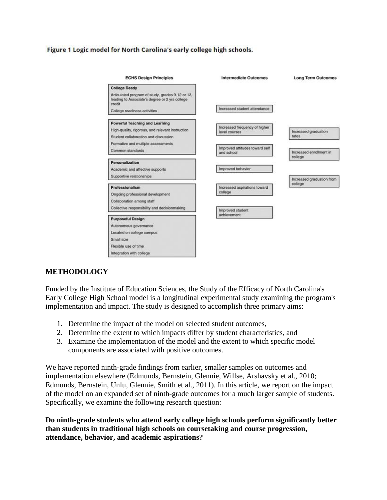#### Figure 1 Logic model for North Carolina's early college high schools.



# **METHODOLOGY**

Funded by the Institute of Education Sciences, the Study of the Efficacy of North Carolina's Early College High School model is a longitudinal experimental study examining the program's implementation and impact. The study is designed to accomplish three primary aims:

- 1. Determine the impact of the model on selected student outcomes,
- 2. Determine the extent to which impacts differ by student characteristics, and
- 3. Examine the implementation of the model and the extent to which specific model components are associated with positive outcomes.

We have reported ninth-grade findings from earlier, smaller samples on outcomes and implementation elsewhere (Edmunds, Bernstein, Glennie, Willse, Arshavsky et al., 2010; Edmunds, Bernstein, Unlu, Glennie, Smith et al., 2011). In this article, we report on the impact of the model on an expanded set of ninth-grade outcomes for a much larger sample of students. Specifically, we examine the following research question:

**Do ninth-grade students who attend early college high schools perform significantly better than students in traditional high schools on coursetaking and course progression, attendance, behavior, and academic aspirations?**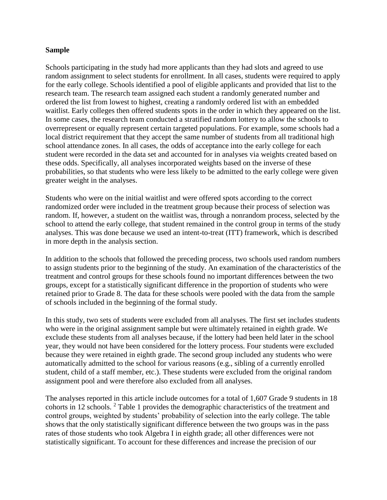#### **Sample**

Schools participating in the study had more applicants than they had slots and agreed to use random assignment to select students for enrollment. In all cases, students were required to apply for the early college. Schools identified a pool of eligible applicants and provided that list to the research team. The research team assigned each student a randomly generated number and ordered the list from lowest to highest, creating a randomly ordered list with an embedded waitlist. Early colleges then offered students spots in the order in which they appeared on the list. In some cases, the research team conducted a stratified random lottery to allow the schools to overrepresent or equally represent certain targeted populations. For example, some schools had a local district requirement that they accept the same number of students from all traditional high school attendance zones. In all cases, the odds of acceptance into the early college for each student were recorded in the data set and accounted for in analyses via weights created based on these odds. Specifically, all analyses incorporated weights based on the inverse of these probabilities, so that students who were less likely to be admitted to the early college were given greater weight in the analyses.

Students who were on the initial waitlist and were offered spots according to the correct randomized order were included in the treatment group because their process of selection was random. If, however, a student on the waitlist was, through a nonrandom process, selected by the school to attend the early college, that student remained in the control group in terms of the study analyses. This was done because we used an intent-to-treat (ITT) framework, which is described in more depth in the analysis section.

In addition to the schools that followed the preceding process, two schools used random numbers to assign students prior to the beginning of the study. An examination of the characteristics of the treatment and control groups for these schools found no important differences between the two groups, except for a statistically significant difference in the proportion of students who were retained prior to Grade 8. The data for these schools were pooled with the data from the sample of schools included in the beginning of the formal study.

In this study, two sets of students were excluded from all analyses. The first set includes students who were in the original assignment sample but were ultimately retained in eighth grade. We exclude these students from all analyses because, if the lottery had been held later in the school year, they would not have been considered for the lottery process. Four students were excluded because they were retained in eighth grade. The second group included any students who were automatically admitted to the school for various reasons (e.g., sibling of a currently enrolled student, child of a staff member, etc.). These students were excluded from the original random assignment pool and were therefore also excluded from all analyses.

The analyses reported in this article include outcomes for a total of 1,607 Grade 9 students in 18 cohorts in 12 schools. <sup>2</sup> Table 1 provides the demographic characteristics of the treatment and control groups, weighted by students' probability of selection into the early college. The table shows that the only statistically significant difference between the two groups was in the pass rates of those students who took Algebra I in eighth grade; all other differences were not statistically significant. To account for these differences and increase the precision of our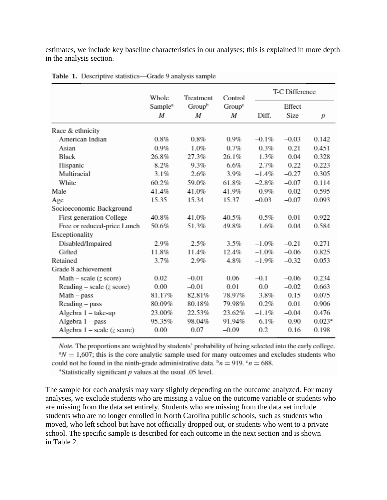estimates, we include key baseline characteristics in our analyses; this is explained in more depth in the analysis section.

|                                       | Whole               | Treatment          | Control            | T-C Difference |         |                  |
|---------------------------------------|---------------------|--------------------|--------------------|----------------|---------|------------------|
|                                       | Sample <sup>a</sup> | Group <sup>b</sup> | Group <sup>c</sup> |                | Effect  |                  |
|                                       | M                   | M                  | M                  | Diff.          | Size    | $\boldsymbol{p}$ |
| Race & ethnicity                      |                     |                    |                    |                |         |                  |
| American Indian                       | 0.8%                | 0.8%               | 0.9%               | $-0.1%$        | $-0.03$ | 0.142            |
| Asian                                 | 0.9%                | 1.0%               | 0.7%               | 0.3%           | 0.21    | 0.451            |
| <b>Black</b>                          | 26.8%               | 27.3%              | 26.1%              | 1.3%           | 0.04    | 0.328            |
| Hispanic                              | 8.2%                | 9.3%               | 6.6%               | 2.7%           | 0.22    | 0.223            |
| Multiracial                           | 3.1%                | 2.6%               | 3.9%               | $-1.4%$        | $-0.27$ | 0.305            |
| White                                 | 60.2%               | 59.0%              | 61.8%              | $-2.8%$        | $-0.07$ | 0.114            |
| Male                                  | 41.4%               | 41.0%              | 41.9%              | $-0.9%$        | $-0.02$ | 0.595            |
| Age                                   | 15.35               | 15.34              | 15.37              | $-0.03$        | $-0.07$ | 0.093            |
| Socioeconomic Background              |                     |                    |                    |                |         |                  |
| First generation College              | 40.8%               | 41.0%              | 40.5%              | 0.5%           | 0.01    | 0.922            |
| Free or reduced-price Lunch           | 50.6%               | 51.3%              | 49.8%              | 1.6%           | 0.04    | 0.584            |
| Exceptionality                        |                     |                    |                    |                |         |                  |
| Disabled/Impaired                     | 2.9%                | 2.5%               | 3.5%               | $-1.0%$        | $-0.21$ | 0.271            |
| Gifted                                | 11.8%               | 11.4%              | 12.4%              | $-1.0%$        | $-0.06$ | 0.825            |
| Retained                              | 3.7%                | 2.9%               | 4.8%               | $-1.9%$        | $-0.32$ | 0.053            |
| Grade 8 achievement                   |                     |                    |                    |                |         |                  |
| Math – scale $(z \text{ score})$      | 0.02                | $-0.01$            | 0.06               | $-0.1$         | $-0.06$ | 0.234            |
| Reading $-$ scale ( $\zeta$ score)    | 0.00                | $-0.01$            | 0.01               | 0.0            | $-0.02$ | 0.663            |
| $Math - pass$                         | 81.17%              | 82.81%             | 78.97%             | 3.8%           | 0.15    | 0.075            |
| Reading – pass                        | 80.09%              | 80.18%             | 79.98%             | 0.2%           | 0.01    | 0.906            |
| Algebra 1 - take-up                   | 23.00%              | 22.53%             | 23.62%             | $-1.1%$        | $-0.04$ | 0.476            |
| Algebra $1 - p$ ass                   | 95.35%              | 98.04%             | 91.94%             | 6.1%           | 0.90    | $0.023*$         |
| Algebra $1 - scale$ ( <i>z</i> score) | 0.00                | 0.07               | $-0.09$            | 0.2            | 0.16    | 0.198            |

Table 1. Descriptive statistics-Grade 9 analysis sample

Note. The proportions are weighted by students' probability of being selected into the early college.  $N = 1,607$ ; this is the core analytic sample used for many outcomes and excludes students who could not be found in the ninth-grade administrative data.  $\frac{b_n}{a_1} = 919$ .  $\frac{c_n}{a_1} = 688$ .

\*Statistically significant  $p$  values at the usual .05 level.

The sample for each analysis may vary slightly depending on the outcome analyzed. For many analyses, we exclude students who are missing a value on the outcome variable or students who are missing from the data set entirely. Students who are missing from the data set include students who are no longer enrolled in North Carolina public schools, such as students who moved, who left school but have not officially dropped out, or students who went to a private school. The specific sample is described for each outcome in the next section and is shown in Table 2.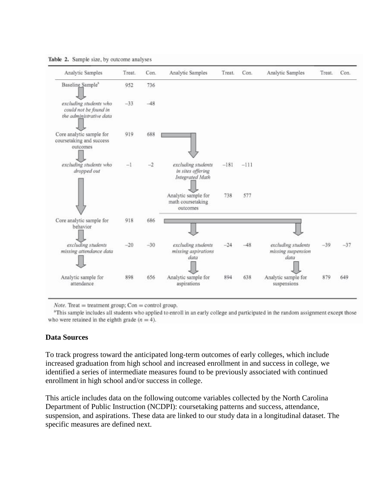Table 2. Sample size, by outcome analyses



*Note.* Treat = treatment group;  $Con = control$  group.

aThis sample includes all students who applied to enroll in an early college and participated in the random assignment except those who were retained in the eighth grade  $(n = 4)$ .

#### **Data Sources**

To track progress toward the anticipated long-term outcomes of early colleges, which include increased graduation from high school and increased enrollment in and success in college, we identified a series of intermediate measures found to be previously associated with continued enrollment in high school and/or success in college.

This article includes data on the following outcome variables collected by the North Carolina Department of Public Instruction (NCDPI): coursetaking patterns and success, attendance, suspension, and aspirations. These data are linked to our study data in a longitudinal dataset. The specific measures are defined next.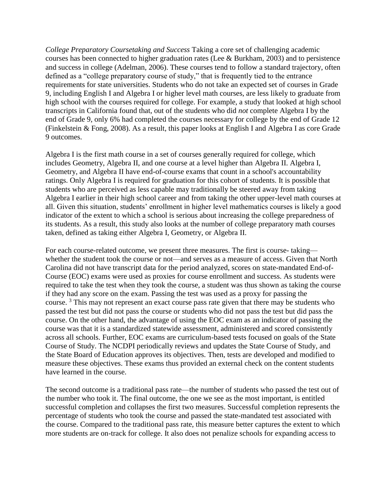*College Preparatory Coursetaking and Success* Taking a core set of challenging academic courses has been connected to higher graduation rates (Lee & Burkham, 2003) and to persistence and success in college (Adelman, 2006). These courses tend to follow a standard trajectory, often defined as a "college preparatory course of study," that is frequently tied to the entrance requirements for state universities. Students who do not take an expected set of courses in Grade 9, including English I and Algebra I or higher level math courses, are less likely to graduate from high school with the courses required for college. For example, a study that looked at high school transcripts in California found that, out of the students who did *not* complete Algebra I by the end of Grade 9, only 6% had completed the courses necessary for college by the end of Grade 12 (Finkelstein & Fong, 2008). As a result, this paper looks at English I and Algebra I as core Grade 9 outcomes.

Algebra I is the first math course in a set of courses generally required for college, which includes Geometry, Algebra II, and one course at a level higher than Algebra II. Algebra I, Geometry, and Algebra II have end-of-course exams that count in a school's accountability ratings. Only Algebra I is required for graduation for this cohort of students. It is possible that students who are perceived as less capable may traditionally be steered away from taking Algebra I earlier in their high school career and from taking the other upper-level math courses at all. Given this situation, students' enrollment in higher level mathematics courses is likely a good indicator of the extent to which a school is serious about increasing the college preparedness of its students. As a result, this study also looks at the number of college preparatory math courses taken, defined as taking either Algebra I, Geometry, or Algebra II.

For each course-related outcome, we present three measures. The first is course- taking whether the student took the course or not—and serves as a measure of access. Given that North Carolina did not have transcript data for the period analyzed, scores on state-mandated End-of-Course (EOC) exams were used as proxies for course enrollment and success. As students were required to take the test when they took the course, a student was thus shown as taking the course if they had any score on the exam. Passing the test was used as a proxy for passing the course. <sup>3</sup> This may not represent an exact course pass rate given that there may be students who passed the test but did not pass the course or students who did not pass the test but did pass the course. On the other hand, the advantage of using the EOC exam as an indicator of passing the course was that it is a standardized statewide assessment, administered and scored consistently across all schools. Further, EOC exams are curriculum-based tests focused on goals of the State Course of Study. The NCDPI periodically reviews and updates the State Course of Study, and the State Board of Education approves its objectives. Then, tests are developed and modified to measure these objectives. These exams thus provided an external check on the content students have learned in the course.

The second outcome is a traditional pass rate—the number of students who passed the test out of the number who took it. The final outcome, the one we see as the most important, is entitled successful completion and collapses the first two measures. Successful completion represents the percentage of students who took the course and passed the state-mandated test associated with the course. Compared to the traditional pass rate, this measure better captures the extent to which more students are on-track for college. It also does not penalize schools for expanding access to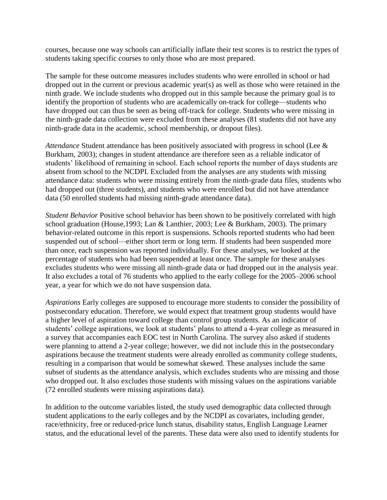courses, because one way schools can artificially inflate their test scores is to restrict the types of students taking specific courses to only those who are most prepared.

The sample for these outcome measures includes students who were enrolled in school or had dropped out in the current or previous academic year(s) as well as those who were retained in the ninth grade. We include students who dropped out in this sample because the primary goal is to identify the proportion of students who are academically on-track for college—students who have dropped out can thus be seen as being off-track for college. Students who were missing in the ninth-grade data collection were excluded from these analyses (81 students did not have any ninth-grade data in the academic, school membership, or dropout files).

*Attendance* Student attendance has been positively associated with progress in school (Lee & Burkham, 2003); changes in student attendance are therefore seen as a reliable indicator of students' likelihood of remaining in school. Each school reports the number of days students are absent from school to the NCDPI. Excluded from the analyses are any students with missing attendance data: students who were missing entirely from the ninth-grade data files, students who had dropped out (three students), and students who were enrolled but did not have attendance data (50 enrolled students had missing ninth-grade attendance data).

*Student Behavior* Positive school behavior has been shown to be positively correlated with high school graduation (House,1993; Lan & Lanthier, 2003; Lee & Burkham, 2003). The primary behavior-related outcome in this report is suspensions. Schools reported students who had been suspended out of school—either short term or long term. If students had been suspended more than once, each suspension was reported individually. For these analyses, we looked at the percentage of students who had been suspended at least once. The sample for these analyses excludes students who were missing all ninth-grade data or had dropped out in the analysis year. It also excludes a total of 76 students who applied to the early college for the 2005–2006 school year, a year for which we do not have suspension data.

*Aspirations* Early colleges are supposed to encourage more students to consider the possibility of postsecondary education. Therefore, we would expect that treatment group students would have a higher level of aspiration toward college than control group students. As an indicator of students' college aspirations, we look at students' plans to attend a 4-year college as measured in a survey that accompanies each EOC test in North Carolina. The survey also asked if students were planning to attend a 2-year college; however, we did not include this in the postsecondary aspirations because the treatment students were already enrolled as community college students, resulting in a comparison that would be somewhat skewed. These analyses include the same subset of students as the attendance analysis, which excludes students who are missing and those who dropped out. It also excludes those students with missing values on the aspirations variable (72 enrolled students were missing aspirations data).

In addition to the outcome variables listed, the study used demographic data collected through student applications to the early colleges and by the NCDPI as covariates, including gender, race/ethnicity, free or reduced-price lunch status, disability status, English Language Learner status, and the educational level of the parents. These data were also used to identify students for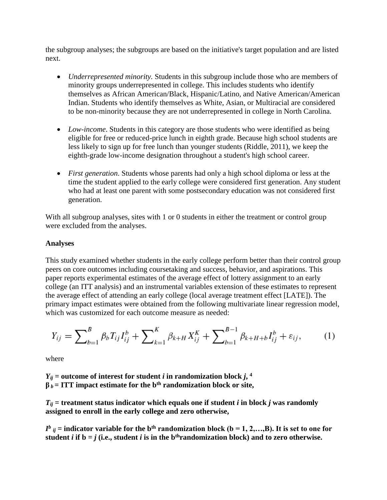the subgroup analyses; the subgroups are based on the initiative's target population and are listed next.

- *Underrepresented minority.* Students in this subgroup include those who are members of minority groups underrepresented in college. This includes students who identify themselves as African American/Black, Hispanic/Latino, and Native American/American Indian. Students who identify themselves as White, Asian, or Multiracial are considered to be non-minority because they are not underrepresented in college in North Carolina.
- *Low-income*. Students in this category are those students who were identified as being eligible for free or reduced-price lunch in eighth grade. Because high school students are less likely to sign up for free lunch than younger students (Riddle, 2011), we keep the eighth-grade low-income designation throughout a student's high school career.
- *First generation*. Students whose parents had only a high school diploma or less at the time the student applied to the early college were considered first generation. Any student who had at least one parent with some postsecondary education was not considered first generation.

With all subgroup analyses, sites with 1 or 0 students in either the treatment or control group were excluded from the analyses.

#### **Analyses**

This study examined whether students in the early college perform better than their control group peers on core outcomes including coursetaking and success, behavior, and aspirations. This paper reports experimental estimates of the average effect of lottery assignment to an early college (an ITT analysis) and an instrumental variables extension of these estimates to represent the average effect of attending an early college (local average treatment effect [LATE]). The primary impact estimates were obtained from the following multivariate linear regression model, which was customized for each outcome measure as needed:

$$
Y_{ij} = \sum_{b=1}^{B} \beta_b T_{ij} I_{ij}^b + \sum_{k=1}^{K} \beta_{k+H} X_{ij}^K + \sum_{b=1}^{B-1} \beta_{k+H+b} I_{ij}^b + \varepsilon_{ij},\tag{1}
$$

where

 $Y_{ij}$  = outcome of interest for student *i* in randomization block *j*, <sup>4</sup>  $\beta_b$  = ITT impact estimate for the b<sup>th</sup> randomization block or site,

 $T_{ij}$  = treatment status indicator which equals one if student *i* in block *j* was randomly **assigned to enroll in the early college and zero otherwise,**

 $I^b$  *ij* = indicator variable for the b<sup>th</sup> randomization block (b = 1, 2,…,B). It is set to one for **student** *i* **if**  $b = j$  (i.e., student *i* is in the b<sup>th</sup>randomization block) and to zero otherwise.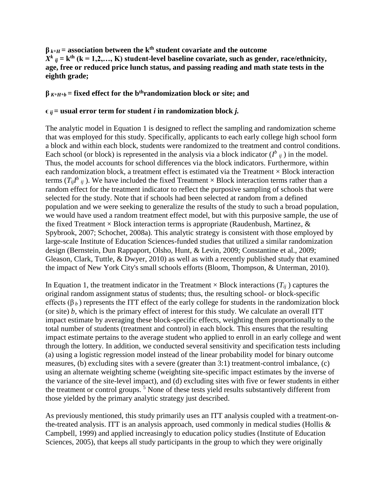$\beta_{k+H}$  = association between the k<sup>th</sup> student covariate and the outcome  $X^k$  *ij* = k<sup>th</sup> (k = 1,2,..., K) student-level baseline covariate, such as gender, race/ethnicity, **age, free or reduced price lunch status, and passing reading and math state tests in the eighth grade;**

### **β** *<sup>K</sup>***+***H***+***<sup>b</sup>* **= fixed effect for the bthrandomization block or site; and**

#### $\epsilon_{ij}$  = usual error term for student *i* in randomization block *j*.

The analytic model in Equation 1 is designed to reflect the sampling and randomization scheme that was employed for this study. Specifically, applicants to each early college high school form a block and within each block, students were randomized to the treatment and control conditions. Each school (or block) is represented in the analysis via a block indicator  $(I^b_{ij})$  in the model. Thus, the model accounts for school differences via the block indicators. Furthermore, within each randomization block, a treatment effect is estimated via the Treatment  $\times$  Block interaction terms  $(T_{ij}I^b{}_{ij})$ . We have included the fixed Treatment  $\times$  Block interaction terms rather than a random effect for the treatment indicator to reflect the purposive sampling of schools that were selected for the study. Note that if schools had been selected at random from a defined population and we were seeking to generalize the results of the study to such a broad population, we would have used a random treatment effect model, but with this purposive sample, the use of the fixed Treatment  $\times$  Block interaction terms is appropriate (Raudenbush, Martinez,  $\&$ Spybrook, 2007; Schochet, 2008a). This analytic strategy is consistent with those employed by large-scale Institute of Education Sciences-funded studies that utilized a similar randomization design (Bernstein, Dun Rappaport, Olsho, Hunt, & Levin, 2009; Constantine et al., 2009; Gleason, Clark, Tuttle, & Dwyer, 2010) as well as with a recently published study that examined the impact of New York City's small schools efforts (Bloom, Thompson, & Unterman, 2010).

In Equation 1, the treatment indicator in the Treatment  $\times$  Block interactions ( $T_{ij}$ ) captures the original random assignment status of students; thus, the resulting school- or block-specific effects  $(\beta_b)$  represents the ITT effect of the early college for students in the randomization block (or site) *b*, which is the primary effect of interest for this study. We calculate an overall ITT impact estimate by averaging these block-specific effects, weighting them proportionally to the total number of students (treatment and control) in each block. This ensures that the resulting impact estimate pertains to the average student who applied to enroll in an early college and went through the lottery. In addition, we conducted several sensitivity and specification tests including (a) using a logistic regression model instead of the linear probability model for binary outcome measures, (b) excluding sites with a severe (greater than 3:1) treatment-control imbalance, (c) using an alternate weighting scheme (weighting site-specific impact estimates by the inverse of the variance of the site-level impact), and (d) excluding sites with five or fewer students in either the treatment or control groups.<sup>5</sup> None of these tests yield results substantively different from those yielded by the primary analytic strategy just described.

As previously mentioned, this study primarily uses an ITT analysis coupled with a treatment-onthe-treated analysis. ITT is an analysis approach, used commonly in medical studies (Hollis & Campbell, 1999) and applied increasingly to education policy studies (Institute of Education Sciences, 2005), that keeps all study participants in the group to which they were originally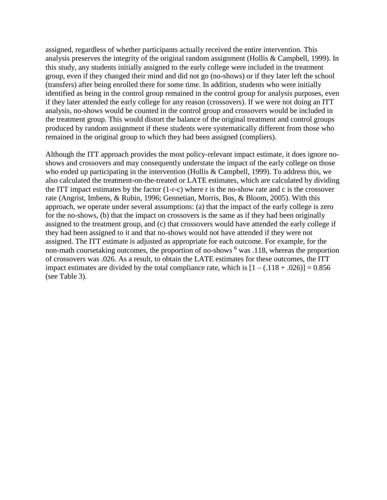assigned, regardless of whether participants actually received the entire intervention. This analysis preserves the integrity of the original random assignment (Hollis & Campbell, 1999). In this study, any students initially assigned to the early college were included in the treatment group, even if they changed their mind and did not go (no-shows) or if they later left the school (transfers) after being enrolled there for some time. In addition, students who were initially identified as being in the control group remained in the control group for analysis purposes, even if they later attended the early college for any reason (crossovers). If we were not doing an ITT analysis, no-shows would be counted in the control group and crossovers would be included in the treatment group. This would distort the balance of the original treatment and control groups produced by random assignment if these students were systematically different from those who remained in the original group to which they had been assigned (compliers).

Although the ITT approach provides the most policy-relevant impact estimate, it does ignore noshows and crossovers and may consequently understate the impact of the early college on those who ended up participating in the intervention (Hollis & Campbell, 1999). To address this, we also calculated the treatment-on-the-treated or LATE estimates, which are calculated by dividing the ITT impact estimates by the factor (1-r-c) where r is the no-show rate and c is the crossover rate (Angrist, Imbens, & Rubin, 1996; Gennetian, Morris, Bos, & Bloom, 2005). With this approach, we operate under several assumptions: (a) that the impact of the early college is zero for the no-shows, (b) that the impact on crossovers is the same as if they had been originally assigned to the treatment group, and (c) that crossovers would have attended the early college if they had been assigned to it and that no-shows would not have attended if they were not assigned. The ITT estimate is adjusted as appropriate for each outcome. For example, for the non-math coursetaking outcomes, the proportion of no-shows  $<sup>6</sup>$  was .118, whereas the proportion</sup> of crossovers was .026. As a result, to obtain the LATE estimates for these outcomes, the ITT impact estimates are divided by the total compliance rate, which is  $[1 - (.118 + .026)] = 0.856$ (see Table 3).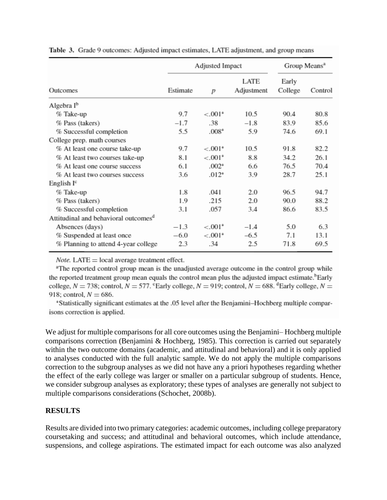|                                                  |          | Adjusted Impact  | Group Means <sup>a</sup> |                  |         |
|--------------------------------------------------|----------|------------------|--------------------------|------------------|---------|
| <b>Outcomes</b>                                  | Estimate | $\boldsymbol{p}$ | LATE<br>Adjustment       | Early<br>College | Control |
| Algebra I <sup>b</sup>                           |          |                  |                          |                  |         |
| % Take-up                                        | 9.7      | $-.001*$         | 10.5                     | 90.4             | 80.8    |
| % Pass (takers)                                  | $-1.7$   | .38              | $-1.8$                   | 83.9             | 85.6    |
| % Successful completion                          | 5.5      | $.008*$          | 5.9                      | 74.6             | 69.1    |
| College prep. math courses                       |          |                  |                          |                  |         |
| % At least one course take-up                    | 9.7      | $-.001*$         | 10.5                     | 91.8             | 82.2    |
| % At least two courses take-up                   | 8.1      | $-.001*$         | 8.8                      | 34.2             | 26.1    |
| % At least one course success                    | 6.1      | $.002*$          | 6.6                      | 76.5             | 70.4    |
| % At least two courses success                   | 3.6      | $.012*$          | 3.9                      | 28.7             | 25.1    |
| English I <sup>c</sup>                           |          |                  |                          |                  |         |
| % Take-up                                        | 1.8      | .041             | 2.0                      | 96.5             | 94.7    |
| % Pass (takers)                                  | 1.9      | .215             | 2.0                      | 90.0             | 88.2    |
| % Successful completion                          | 3.1      | .057             | 3.4                      | 86.6             | 83.5    |
| Attitudinal and behavioral outcomes <sup>d</sup> |          |                  |                          |                  |         |
| Absences (days)                                  | $-1.3$   | $-.001*$         | $-1.4$                   | 5.0              | 6.3     |
| % Suspended at least once                        | $-6.0$   | $-.001*$         | $-6.5$                   | 7.1              | 13.1    |
| % Planning to attend 4-year college              | 2.3      | .34              | 2.5                      | 71.8             | 69.5    |

Table 3. Grade 9 outcomes: Adjusted impact estimates, LATE adjustment, and group means

*Note.* LATE  $=$  local average treatment effect.

<sup>a</sup>The reported control group mean is the unadjusted average outcome in the control group while the reported treatment group mean equals the control mean plus the adjusted impact estimate.<sup>b</sup>Early college,  $N = 738$ ; control,  $N = 577$ . Early college,  $N = 919$ ; control,  $N = 688$ . <sup>d</sup>Early college,  $N =$ 918; control,  $N = 686$ .

\*Statistically significant estimates at the .05 level after the Benjamini–Hochberg multiple comparisons correction is applied.

We adjust for multiple comparisons for all core outcomes using the Benjamini– Hochberg multiple comparisons correction (Benjamini & Hochberg, 1985). This correction is carried out separately within the two outcome domains (academic, and attitudinal and behavioral) and it is only applied to analyses conducted with the full analytic sample. We do not apply the multiple comparisons correction to the subgroup analyses as we did not have any a priori hypotheses regarding whether the effect of the early college was larger or smaller on a particular subgroup of students. Hence, we consider subgroup analyses as exploratory; these types of analyses are generally not subject to multiple comparisons considerations (Schochet, 2008b).

#### **RESULTS**

Results are divided into two primary categories: academic outcomes, including college preparatory coursetaking and success; and attitudinal and behavioral outcomes, which include attendance, suspensions, and college aspirations. The estimated impact for each outcome was also analyzed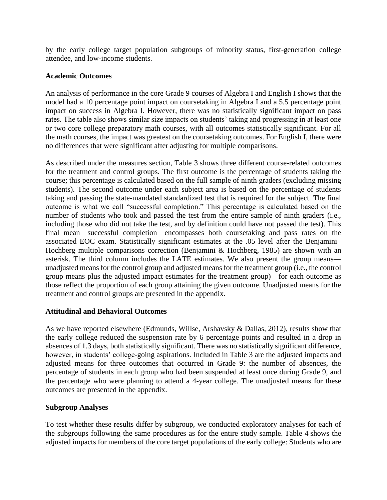by the early college target population subgroups of minority status, first-generation college attendee, and low-income students.

### **Academic Outcomes**

An analysis of performance in the core Grade 9 courses of Algebra I and English I shows that the model had a 10 percentage point impact on coursetaking in Algebra I and a 5.5 percentage point impact on success in Algebra I. However, there was no statistically significant impact on pass rates. The table also shows similar size impacts on students' taking and progressing in at least one or two core college preparatory math courses, with all outcomes statistically significant. For all the math courses, the impact was greatest on the coursetaking outcomes. For English I, there were no differences that were significant after adjusting for multiple comparisons.

As described under the measures section, Table 3 shows three different course-related outcomes for the treatment and control groups. The first outcome is the percentage of students taking the course; this percentage is calculated based on the full sample of ninth graders (excluding missing students). The second outcome under each subject area is based on the percentage of students taking and passing the state-mandated standardized test that is required for the subject. The final outcome is what we call "successful completion." This percentage is calculated based on the number of students who took and passed the test from the entire sample of ninth graders (i.e., including those who did not take the test, and by definition could have not passed the test). This final mean—successful completion—encompasses both coursetaking and pass rates on the associated EOC exam. Statistically significant estimates at the .05 level after the Benjamini– Hochberg multiple comparisons correction (Benjamini & Hochberg, 1985) are shown with an asterisk. The third column includes the LATE estimates. We also present the group means unadjusted means for the control group and adjusted means for the treatment group (i.e., the control group means plus the adjusted impact estimates for the treatment group)—for each outcome as those reflect the proportion of each group attaining the given outcome. Unadjusted means for the treatment and control groups are presented in the appendix.

# **Attitudinal and Behavioral Outcomes**

As we have reported elsewhere (Edmunds, Willse, Arshavsky & Dallas, 2012), results show that the early college reduced the suspension rate by 6 percentage points and resulted in a drop in absences of 1.3 days, both statistically significant. There was no statistically significant difference, however, in students' college-going aspirations. Included in Table 3 are the adjusted impacts and adjusted means for three outcomes that occurred in Grade 9: the number of absences, the percentage of students in each group who had been suspended at least once during Grade 9, and the percentage who were planning to attend a 4-year college. The unadjusted means for these outcomes are presented in the appendix.

# **Subgroup Analyses**

To test whether these results differ by subgroup, we conducted exploratory analyses for each of the subgroups following the same procedures as for the entire study sample. Table 4 shows the adjusted impacts for members of the core target populations of the early college: Students who are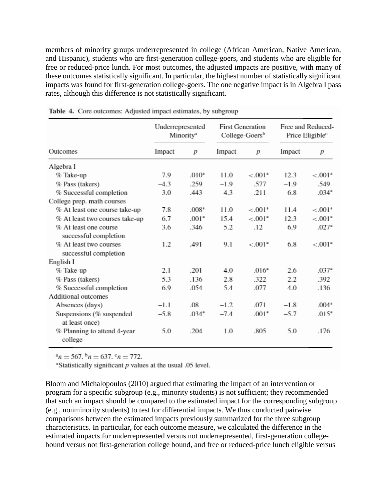members of minority groups underrepresented in college (African American, Native American, and Hispanic), students who are first-generation college-goers, and students who are eligible for free or reduced-price lunch. For most outcomes, the adjusted impacts are positive, with many of these outcomes statistically significant. In particular, the highest number of statistically significant impacts was found for first-generation college-goers. The one negative impact is in Algebra I pass rates, although this difference is not statistically significant.

|                                                 | Underrepresented<br>Minority <sup>a</sup> |                  |        | <b>First Generation</b><br>College-Goers <sup>b</sup> |        | Free and Reduced-<br>Price Eligible <sup>c</sup> |  |
|-------------------------------------------------|-------------------------------------------|------------------|--------|-------------------------------------------------------|--------|--------------------------------------------------|--|
| Outcomes                                        | Impact                                    | $\boldsymbol{p}$ | Impact | $\boldsymbol{p}$                                      | Impact | $\boldsymbol{p}$                                 |  |
| Algebra I                                       |                                           |                  |        |                                                       |        |                                                  |  |
| % Take-up                                       | 7.9                                       | $.010*$          | 11.0   | $-.001*$                                              | 12.3   | $-.001*$                                         |  |
| % Pass (takers)                                 | $-4.3$                                    | .259             | $-1.9$ | .577                                                  | $-1.9$ | .549                                             |  |
| % Successful completion                         | 3.0                                       | .443             | 4.3    | .211                                                  | 6.8    | $.034*$                                          |  |
| College prep. math courses                      |                                           |                  |        |                                                       |        |                                                  |  |
| % At least one course take-up                   | 7.8                                       | $.008*$          | 11.0   | $-.001*$                                              | 11.4   | $-.001*$                                         |  |
| % At least two courses take-up                  | 6.7                                       | $.001*$          | 15.4   | $< 0.01*$                                             | 12.3   | $-.001*$                                         |  |
| % At least one course<br>successful completion  | 3.6                                       | .346             | 5.2    | .12                                                   | 6.9    | $.027*$                                          |  |
| % At least two courses<br>successful completion | 1.2                                       | .491             | 9.1    | $-.001*$                                              | 6.8    | $-.001*$                                         |  |
| English I                                       |                                           |                  |        |                                                       |        |                                                  |  |
| % Take-up                                       | 2.1                                       | .201             | 4.0    | $.016*$                                               | 2.6    | $.037*$                                          |  |
| % Pass (takers)                                 | 5.3                                       | .136             | 2.8    | .322                                                  | 2.2    | .392                                             |  |
| % Successful completion                         | 6.9                                       | .054             | 5.4    | .077                                                  | 4.0    | .136                                             |  |
| <b>Additional outcomes</b>                      |                                           |                  |        |                                                       |        |                                                  |  |
| Absences (days)                                 | $-1.1$                                    | .08              | $-1.2$ | .071                                                  | $-1.8$ | $.004*$                                          |  |
| Suspensions (% suspended<br>at least once)      | $-5.8$                                    | $.034*$          | $-7.4$ | $.001*$                                               | $-5.7$ | $.015*$                                          |  |
| % Planning to attend 4-year<br>college          | 5.0                                       | .204             | 1.0    | .805                                                  | 5.0    | .176                                             |  |

Table 4. Core outcomes: Adjusted impact estimates, by subgroup

 $n_a = 567$ ,  $n_b = 637$ ,  $n_b = 772$ .

\*Statistically significant  $p$  values at the usual 0.05 level.

Bloom and Michalopoulos (2010) argued that estimating the impact of an intervention or program for a specific subgroup (e.g., minority students) is not sufficient; they recommended that such an impact should be compared to the estimated impact for the corresponding subgroup (e.g., nonminority students) to test for differential impacts. We thus conducted pairwise comparisons between the estimated impacts previously summarized for the three subgroup characteristics. In particular, for each outcome measure, we calculated the difference in the estimated impacts for underrepresented versus not underrepresented, first-generation collegebound versus not first-generation college bound, and free or reduced-price lunch eligible versus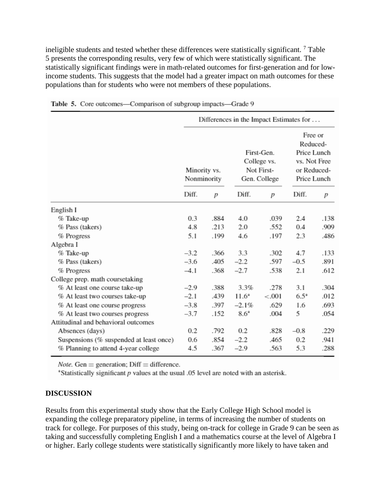ineligible students and tested whether these differences were statistically significant. <sup>7</sup> Table 5 presents the corresponding results, very few of which were statistically significant. The statistically significant findings were in math-related outcomes for first-generation and for lowincome students. This suggests that the model had a greater impact on math outcomes for these populations than for students who were not members of these populations.

|                                         | Differences in the Impact Estimates for |                  |                                                         |         |                                                                                  |                  |
|-----------------------------------------|-----------------------------------------|------------------|---------------------------------------------------------|---------|----------------------------------------------------------------------------------|------------------|
|                                         | Minority vs.<br>Nonminority             |                  | First-Gen.<br>College vs.<br>Not First-<br>Gen. College |         | Free or<br>Reduced-<br>Price Lunch<br>vs. Not Free<br>or Reduced-<br>Price Lunch |                  |
|                                         | Diff.                                   | $\boldsymbol{p}$ | Diff.                                                   | p       | Diff.                                                                            | $\boldsymbol{p}$ |
| English I                               |                                         |                  |                                                         |         |                                                                                  |                  |
| % Take-up                               | 0.3                                     | .884             | 4.0                                                     | .039    | 2.4                                                                              | .138             |
| % Pass (takers)                         | 4.8                                     | .213             | 2.0                                                     | .552    | 0.4                                                                              | .909             |
| % Progress                              | 5.1                                     | .199             | 4.6                                                     | .197    | 2.3                                                                              | .486             |
| Algebra I                               |                                         |                  |                                                         |         |                                                                                  |                  |
| % Take-up                               | $-3.2$                                  | .366             | 3.3                                                     | .302    | 4.7                                                                              | .133             |
| % Pass (takers)                         | $-3.6$                                  | .405             | $-2.2$                                                  | .597    | $-0.5$                                                                           | .891             |
| % Progress                              | $-4.1$                                  | .368             | $-2.7$                                                  | .538    | 2.1                                                                              | .612             |
| College prep. math coursetaking         |                                         |                  |                                                         |         |                                                                                  |                  |
| % At least one course take-up           | $-2.9$                                  | .388             | 3.3%                                                    | .278    | 3.1                                                                              | .304             |
| % At least two courses take-up          | $-2.1$                                  | .439             | $11.6*$                                                 | $-.001$ | $6.5*$                                                                           | .012             |
| % At least one course progress          | $-3.8$                                  | .397             | $-2.1%$                                                 | .629    | 1.6                                                                              | .693             |
| % At least two courses progress         | $-3.7$                                  | .152             | $8.6*$                                                  | .004    | 5                                                                                | .054             |
| Attitudinal and behavioral outcomes     |                                         |                  |                                                         |         |                                                                                  |                  |
| Absences (days)                         | 0.2                                     | .792             | 0.2                                                     | .828    | $-0.8$                                                                           | .229             |
| Suspensions (% suspended at least once) | 0.6                                     | .854             | $-2.2$                                                  | .465    | 0.2                                                                              | .941             |
| % Planning to attend 4-year college     | 4.5                                     | .367             | $-2.9$                                                  | .563    | 5.3                                                                              | .288             |

| Table 5. Core outcomes—Comparison of subgroup impacts—Grade 9 |  |  |  |  |  |  |  |
|---------------------------------------------------------------|--|--|--|--|--|--|--|
|---------------------------------------------------------------|--|--|--|--|--|--|--|

*Note.* Gen = generation;  $Diff = difference$ .

\*Statistically significant  $p$  values at the usual .05 level are noted with an asterisk.

#### **DISCUSSION**

Results from this experimental study show that the Early College High School model is expanding the college preparatory pipeline, in terms of increasing the number of students on track for college. For purposes of this study, being on-track for college in Grade 9 can be seen as taking and successfully completing English I and a mathematics course at the level of Algebra I or higher. Early college students were statistically significantly more likely to have taken and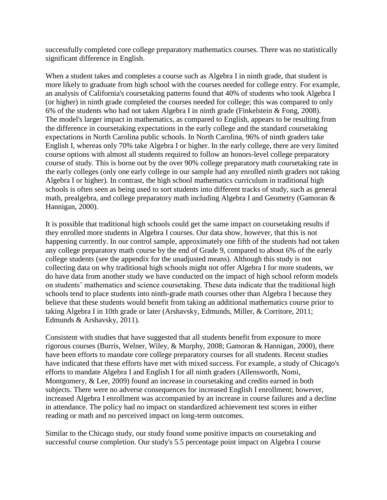successfully completed core college preparatory mathematics courses. There was no statistically significant difference in English.

When a student takes and completes a course such as Algebra I in ninth grade, that student is more likely to graduate from high school with the courses needed for college entry. For example, an analysis of California's coursetaking patterns found that 40% of students who took Algebra I (or higher) in ninth grade completed the courses needed for college; this was compared to only 6% of the students who had not taken Algebra I in ninth grade (Finkelstein & Fong, 2008). The model's larger impact in mathematics, as compared to English, appears to be resulting from the difference in coursetaking expectations in the early college and the standard coursetaking expectations in North Carolina public schools. In North Carolina, 96% of ninth graders take English I, whereas only 70% take Algebra I or higher. In the early college, there are very limited course options with almost all students required to follow an honors-level college preparatory course of study. This is borne out by the over 90% college preparatory math coursetaking rate in the early colleges (only one early college in our sample had any enrolled ninth graders not taking Algebra I or higher). In contrast, the high school mathematics curriculum in traditional high schools is often seen as being used to sort students into different tracks of study, such as general math, prealgebra, and college preparatory math including Algebra I and Geometry (Gamoran & Hannigan, 2000).

It is possible that traditional high schools could get the same impact on coursetaking results if they enrolled more students in Algebra I courses. Our data show, however, that this is not happening currently. In our control sample, approximately one fifth of the students had not taken any college preparatory math course by the end of Grade 9, compared to about 6% of the early college students (see the appendix for the unadjusted means). Although this study is not collecting data on why traditional high schools might not offer Algebra I for more students, we do have data from another study we have conducted on the impact of high school reform models on students' mathematics and science coursetaking. These data indicate that the traditional high schools tend to place students into ninth-grade math courses other than Algebra I because they believe that these students would benefit from taking an additional mathematics course prior to taking Algebra I in 10th grade or later (Arshavsky, Edmunds, Miller, & Corritore, 2011; Edmunds & Arshavsky, 2011).

Consistent with studies that have suggested that all students benefit from exposure to more rigorous courses (Burris, Welner, Wiley, & Murphy, 2008; Gamoran & Hannigan, 2000), there have been efforts to mandate core college preparatory courses for all students. Recent studies have indicated that these efforts have met with mixed success. For example, a study of Chicago's efforts to mandate Algebra I and English I for all ninth graders (Allensworth, Nomi, Montgomery, & Lee, 2009) found an increase in coursetaking and credits earned in both subjects. There were no adverse consequences for increased English I enrollment; however, increased Algebra I enrollment was accompanied by an increase in course failures and a decline in attendance. The policy had no impact on standardized achievement test scores in either reading or math and no perceived impact on long-term outcomes.

Similar to the Chicago study, our study found some positive impacts on coursetaking and successful course completion. Our study's 5.5 percentage point impact on Algebra I course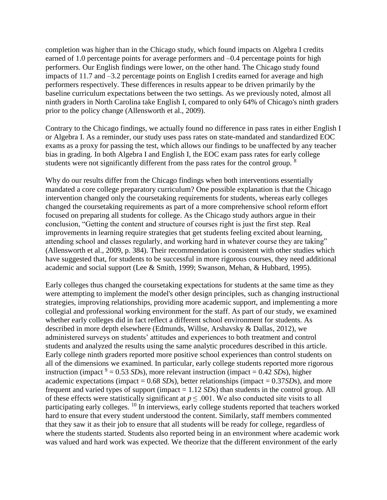completion was higher than in the Chicago study, which found impacts on Algebra I credits earned of 1.0 percentage points for average performers and –0.4 percentage points for high performers. Our English findings were lower, on the other hand. The Chicago study found impacts of 11.7 and –3.2 percentage points on English I credits earned for average and high performers respectively. These differences in results appear to be driven primarily by the baseline curriculum expectations between the two settings. As we previously noted, almost all ninth graders in North Carolina take English I, compared to only 64% of Chicago's ninth graders prior to the policy change (Allensworth et al., 2009).

Contrary to the Chicago findings, we actually found no difference in pass rates in either English I or Algebra I. As a reminder, our study uses pass rates on state-mandated and standardized EOC exams as a proxy for passing the test, which allows our findings to be unaffected by any teacher bias in grading. In both Algebra I and English I, the EOC exam pass rates for early college students were not significantly different from the pass rates for the control group. <sup>8</sup>

Why do our results differ from the Chicago findings when both interventions essentially mandated a core college preparatory curriculum? One possible explanation is that the Chicago intervention changed only the coursetaking requirements for students, whereas early colleges changed the coursetaking requirements as part of a more comprehensive school reform effort focused on preparing all students for college. As the Chicago study authors argue in their conclusion, "Getting the content and structure of courses right is just the first step. Real improvements in learning require strategies that get students feeling excited about learning, attending school and classes regularly, and working hard in whatever course they are taking" (Allensworth et al., 2009, p. 384). Their recommendation is consistent with other studies which have suggested that, for students to be successful in more rigorous courses, they need additional academic and social support (Lee & Smith, 1999; Swanson, Mehan, & Hubbard, 1995).

Early colleges thus changed the coursetaking expectations for students at the same time as they were attempting to implement the model's other design principles, such as changing instructional strategies, improving relationships, providing more academic support, and implementing a more collegial and professional working environment for the staff. As part of our study, we examined whether early colleges did in fact reflect a different school environment for students. As described in more depth elsewhere (Edmunds, Willse, Arshavsky & Dallas, 2012), we administered surveys on students' attitudes and experiences to both treatment and control students and analyzed the results using the same analytic procedures described in this article. Early college ninth graders reported more positive school experiences than control students on all of the dimensions we examined. In particular, early college students reported more rigorous instruction (impact  $9 = 0.53$  *SDs*), more relevant instruction (impact  $= 0.42$  *SDs*), higher academic expectations (impact = 0.68 *SD*s), better relationships (impact = 0.37*SD*s), and more frequent and varied types of support (impact = 1.12 *SD*s) than students in the control group. All of these effects were statistically significant at  $p \leq .001$ . We also conducted site visits to all participating early colleges. <sup>10</sup> In interviews, early college students reported that teachers worked hard to ensure that every student understood the content. Similarly, staff members commented that they saw it as their job to ensure that all students will be ready for college, regardless of where the students started. Students also reported being in an environment where academic work was valued and hard work was expected. We theorize that the different environment of the early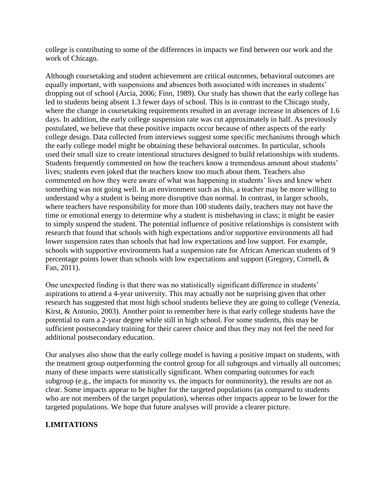college is contributing to some of the differences in impacts we find between our work and the work of Chicago.

Although coursetaking and student achievement are critical outcomes, behavioral outcomes are equally important, with suspensions and absences both associated with increases in students' dropping out of school (Arcia, 2006; Finn, 1989). Our study has shown that the early college has led to students being absent 1.3 fewer days of school. This is in contrast to the Chicago study, where the change in coursetaking requirements resulted in an average increase in absences of 1.6 days. In addition, the early college suspension rate was cut approximately in half. As previously postulated, we believe that these positive impacts occur because of other aspects of the early college design. Data collected from interviews suggest some specific mechanisms through which the early college model might be obtaining these behavioral outcomes. In particular, schools used their small size to create intentional structures designed to build relationships with students. Students frequently commented on how the teachers know a tremendous amount about students' lives; students even joked that the teachers know too much about them. Teachers also commented on how they were aware of what was happening in students' lives and knew when something was not going well. In an environment such as this, a teacher may be more willing to understand why a student is being more disruptive than normal. In contrast, in larger schools, where teachers have responsibility for more than 100 students daily, teachers may not have the time or emotional energy to determine why a student is misbehaving in class; it might be easier to simply suspend the student. The potential influence of positive relationships is consistent with research that found that schools with high expectations and/or supportive environments all had lower suspension rates than schools that had low expectations and low support. For example, schools with supportive environments had a suspension rate for African American students of 9 percentage points lower than schools with low expectations and support (Gregory, Cornell, & Fan, 2011).

One unexpected finding is that there was no statistically significant difference in students' aspirations to attend a 4-year university. This may actually not be surprising given that other research has suggested that most high school students believe they are going to college (Venezia, Kirst, & Antonio, 2003). Another point to remember here is that early college students have the potential to earn a 2-year degree while still in high school. For some students, this may be sufficient postsecondary training for their career choice and thus they may not feel the need for additional postsecondary education.

Our analyses also show that the early college model is having a positive impact on students, with the treatment group outperforming the control group for all subgroups and virtually all outcomes; many of these impacts were statistically significant. When comparing outcomes for each subgroup (e.g., the impacts for minority vs. the impacts for nonminority), the results are not as clear. Some impacts appear to be higher for the targeted populations (as compared to students who are not members of the target population), whereas other impacts appear to be lower for the targeted populations. We hope that future analyses will provide a clearer picture.

# **LIMITATIONS**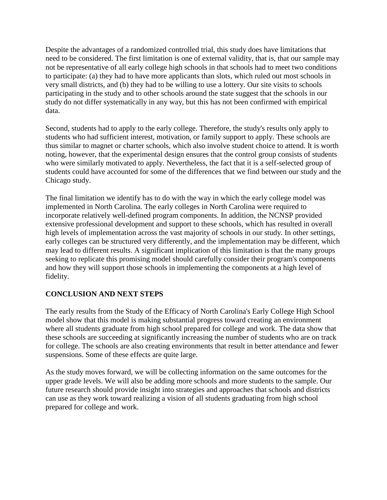Despite the advantages of a randomized controlled trial, this study does have limitations that need to be considered. The first limitation is one of external validity, that is, that our sample may not be representative of all early college high schools in that schools had to meet two conditions to participate: (a) they had to have more applicants than slots, which ruled out most schools in very small districts, and (b) they had to be willing to use a lottery. Our site visits to schools participating in the study and to other schools around the state suggest that the schools in our study do not differ systematically in any way, but this has not been confirmed with empirical data.

Second, students had to apply to the early college. Therefore, the study's results only apply to students who had sufficient interest, motivation, or family support to apply. These schools are thus similar to magnet or charter schools, which also involve student choice to attend. It is worth noting, however, that the experimental design ensures that the control group consists of students who were similarly motivated to apply. Nevertheless, the fact that it is a self-selected group of students could have accounted for some of the differences that we find between our study and the Chicago study.

The final limitation we identify has to do with the way in which the early college model was implemented in North Carolina. The early colleges in North Carolina were required to incorporate relatively well-defined program components. In addition, the NCNSP provided extensive professional development and support to these schools, which has resulted in overall high levels of implementation across the vast majority of schools in our study. In other settings, early colleges can be structured very differently, and the implementation may be different, which may lead to different results. A significant implication of this limitation is that the many groups seeking to replicate this promising model should carefully consider their program's components and how they will support those schools in implementing the components at a high level of fidelity.

# **CONCLUSION AND NEXT STEPS**

The early results from the Study of the Efficacy of North Carolina's Early College High School model show that this model is making substantial progress toward creating an environment where all students graduate from high school prepared for college and work. The data show that these schools are succeeding at significantly increasing the number of students who are on track for college. The schools are also creating environments that result in better attendance and fewer suspensions. Some of these effects are quite large.

As the study moves forward, we will be collecting information on the same outcomes for the upper grade levels. We will also be adding more schools and more students to the sample. Our future research should provide insight into strategies and approaches that schools and districts can use as they work toward realizing a vision of all students graduating from high school prepared for college and work.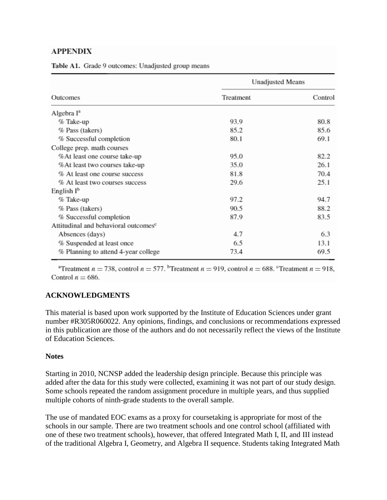### **APPENDIX**

|                                                  | <b>Unadjusted Means</b> |         |  |
|--------------------------------------------------|-------------------------|---------|--|
| Outcomes                                         | Treatment               | Control |  |
| Algebra I <sup>a</sup>                           |                         |         |  |
| % Take-up                                        | 93.9                    | 80.8    |  |
| % Pass (takers)                                  | 85.2                    | 85.6    |  |
| % Successful completion                          | 80.1                    | 69.1    |  |
| College prep. math courses                       |                         |         |  |
| %At least one course take-up                     | 95.0                    | 82.2    |  |
| %At least two courses take-up                    | 35.0                    | 26.1    |  |
| % At least one course success                    | 81.8                    | 70.4    |  |
| % At least two courses success                   | 29.6                    | 25.1    |  |
| English $I^b$                                    |                         |         |  |
| % Take-up                                        | 97.2                    | 94.7    |  |
| % Pass (takers)                                  | 90.5                    | 88.2    |  |
| % Successful completion                          | 87.9                    | 83.5    |  |
| Attitudinal and behavioral outcomes <sup>c</sup> |                         |         |  |
| Absences (days)                                  | 4.7                     | 6.3     |  |
| % Suspended at least once                        | 6.5                     | 13.1    |  |
| % Planning to attend 4-year college              | 73.4                    | 69.5    |  |

Table A1. Grade 9 outcomes: Unadjusted group means

<sup>a</sup>Treatment  $n = 738$ , control  $n = 577$ . <sup>b</sup>Treatment  $n = 919$ , control  $n = 688$ . <sup>c</sup>Treatment  $n = 918$ . Control  $n = 686$ .

# **ACKNOWLEDGMENTS**

This material is based upon work supported by the Institute of Education Sciences under grant number #R305R060022. Any opinions, findings, and conclusions or recommendations expressed in this publication are those of the authors and do not necessarily reflect the views of the Institute of Education Sciences.

#### **Notes**

Starting in 2010, NCNSP added the leadership design principle. Because this principle was added after the data for this study were collected, examining it was not part of our study design. Some schools repeated the random assignment procedure in multiple years, and thus supplied multiple cohorts of ninth-grade students to the overall sample.

The use of mandated EOC exams as a proxy for coursetaking is appropriate for most of the schools in our sample. There are two treatment schools and one control school (affiliated with one of these two treatment schools), however, that offered Integrated Math I, II, and III instead of the traditional Algebra I, Geometry, and Algebra II sequence. Students taking Integrated Math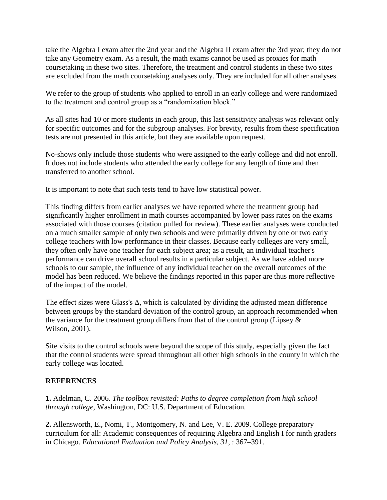take the Algebra I exam after the 2nd year and the Algebra II exam after the 3rd year; they do not take any Geometry exam. As a result, the math exams cannot be used as proxies for math coursetaking in these two sites. Therefore, the treatment and control students in these two sites are excluded from the math coursetaking analyses only. They are included for all other analyses.

We refer to the group of students who applied to enroll in an early college and were randomized to the treatment and control group as a "randomization block."

As all sites had 10 or more students in each group, this last sensitivity analysis was relevant only for specific outcomes and for the subgroup analyses. For brevity, results from these specification tests are not presented in this article, but they are available upon request.

No-shows only include those students who were assigned to the early college and did not enroll. It does not include students who attended the early college for any length of time and then transferred to another school.

It is important to note that such tests tend to have low statistical power.

This finding differs from earlier analyses we have reported where the treatment group had significantly higher enrollment in math courses accompanied by lower pass rates on the exams associated with those courses (citation pulled for review). These earlier analyses were conducted on a much smaller sample of only two schools and were primarily driven by one or two early college teachers with low performance in their classes. Because early colleges are very small, they often only have one teacher for each subject area; as a result, an individual teacher's performance can drive overall school results in a particular subject. As we have added more schools to our sample, the influence of any individual teacher on the overall outcomes of the model has been reduced. We believe the findings reported in this paper are thus more reflective of the impact of the model.

The effect sizes were Glass's  $\Delta$ , which is calculated by dividing the adjusted mean difference between groups by the standard deviation of the control group, an approach recommended when the variance for the treatment group differs from that of the control group (Lipsey  $\&$ Wilson, 2001).

Site visits to the control schools were beyond the scope of this study, especially given the fact that the control students were spread throughout all other high schools in the county in which the early college was located.

# **REFERENCES**

**1.** Adelman, C. 2006. *The toolbox revisited: Paths to degree completion from high school through college*, Washington, DC: U.S. Department of Education.

**2.** Allensworth, E., Nomi, T., Montgomery, N. and Lee, V. E. 2009. College preparatory curriculum for all: Academic consequences of requiring Algebra and English I for ninth graders in Chicago. *Educational Evaluation and Policy Analysis, 31*, : 367–391.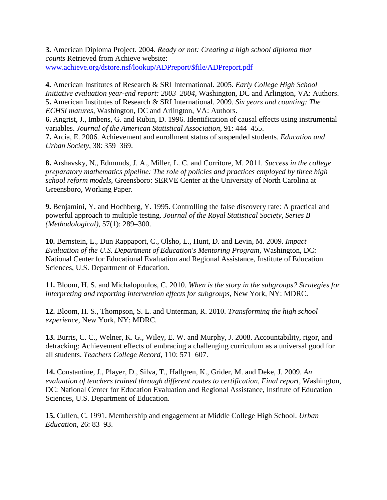**3.** American Diploma Project. 2004. *Ready or not: Creating a high school diploma that counts* Retrieved from Achieve website: [www.achieve.org/dstore.nsf/lookup/ADPreport/\\$file/ADPreport.pdf](http://www.achieve.org/dstore.nsf/lookup/ADPreport/$file/ADPreport.pdf)

**4.** American Institutes of Research & SRI International. 2005. *Early College High School Initiative evaluation year-end report: 2003–2004*, Washington, DC and Arlington, VA: Authors. **5.** American Institutes of Research & SRI International. 2009. *Six years and counting: The ECHSI matures*, Washington, DC and Arlington, VA: Authors.

**6.** Angrist, J., Imbens, G. and Rubin, D. 1996. Identification of causal effects using instrumental variables. *Journal of the American Statistical Association*, 91: 444–455. **7.** Arcia, E. 2006. Achievement and enrollment status of suspended students. *Education and Urban Society*, 38: 359–369.

**8.** Arshavsky, N., Edmunds, J. A., Miller, L. C. and Corritore, M. 2011. *Success in the college preparatory mathematics pipeline: The role of policies and practices employed by three high school reform models*, Greensboro: SERVE Center at the University of North Carolina at Greensboro, Working Paper.

**9.** Benjamini, Y. and Hochberg, Y. 1995. Controlling the false discovery rate: A practical and powerful approach to multiple testing. *Journal of the Royal Statistical Society, Series B (Methodological)*, 57(1): 289–300.

**10.** Bernstein, L., Dun Rappaport, C., Olsho, L., Hunt, D. and Levin, M. 2009. *Impact Evaluation of the U.S. Department of Education's Mentoring Program*, Washington, DC: National Center for Educational Evaluation and Regional Assistance, Institute of Education Sciences, U.S. Department of Education.

**11.** Bloom, H. S. and Michalopoulos, C. 2010. *When is the story in the subgroups? Strategies for interpreting and reporting intervention effects for subgroups*, New York, NY: MDRC.

**12.** Bloom, H. S., Thompson, S. L. and Unterman, R. 2010. *Transforming the high school experience*, New York, NY: MDRC.

**13.** Burris, C. C., Welner, K. G., Wiley, E. W. and Murphy, J. 2008. Accountability, rigor, and detracking: Achievement effects of embracing a challenging curriculum as a universal good for all students. *Teachers College Record*, 110: 571–607.

**14.** Constantine, J., Player, D., Silva, T., Hallgren, K., Grider, M. and Deke, J. 2009. *An evaluation of teachers trained through different routes to certification, Final report*, Washington, DC: National Center for Education Evaluation and Regional Assistance, Institute of Education Sciences, U.S. Department of Education.

**15.** Cullen, C. 1991. Membership and engagement at Middle College High School. *Urban Education*, 26: 83–93.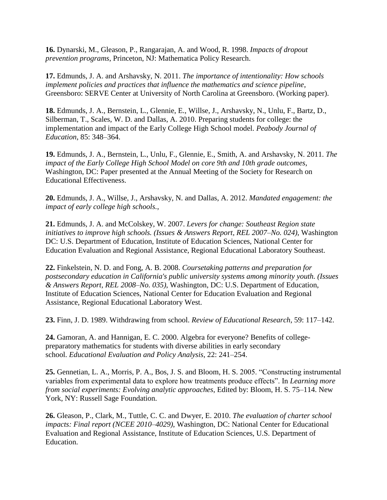**16.** Dynarski, M., Gleason, P., Rangarajan, A. and Wood, R. 1998. *Impacts of dropout prevention programs*, Princeton, NJ: Mathematica Policy Research.

**17.** Edmunds, J. A. and Arshavsky, N. 2011. *The importance of intentionality: How schools implement policies and practices that influence the mathematics and science pipeline*, Greensboro: SERVE Center at University of North Carolina at Greensboro. (Working paper).

**18.** Edmunds, J. A., Bernstein, L., Glennie, E., Willse, J., Arshavsky, N., Unlu, F., Bartz, D., Silberman, T., Scales, W. D. and Dallas, A. 2010. Preparing students for college: the implementation and impact of the Early College High School model. *Peabody Journal of Education*, 85: 348–364.

**19.** Edmunds, J. A., Bernstein, L., Unlu, F., Glennie, E., Smith, A. and Arshavsky, N. 2011. *The impact of the Early College High School Model on core 9th and 10th grade outcomes*, Washington, DC: Paper presented at the Annual Meeting of the Society for Research on Educational Effectiveness.

**20.** Edmunds, J. A., Willse, J., Arshavsky, N. and Dallas, A. 2012. *Mandated engagement: the impact of early college high schools.*,

**21.** Edmunds, J. A. and McColskey, W. 2007. *Levers for change: Southeast Region state initiatives to improve high schools. (Issues & Answers Report, REL 2007–No. 024)*, Washington DC: U.S. Department of Education, Institute of Education Sciences, National Center for Education Evaluation and Regional Assistance, Regional Educational Laboratory Southeast.

**22.** Finkelstein, N. D. and Fong, A. B. 2008. *Coursetaking patterns and preparation for postsecondary education in California's public university systems among minority youth. (Issues & Answers Report, REL 2008–No. 035)*, Washington, DC: U.S. Department of Education, Institute of Education Sciences, National Center for Education Evaluation and Regional Assistance, Regional Educational Laboratory West.

**23.** Finn, J. D. 1989. Withdrawing from school. *Review of Educational Research*, 59: 117–142.

**24.** Gamoran, A. and Hannigan, E. C. 2000. Algebra for everyone? Benefits of collegepreparatory mathematics for students with diverse abilities in early secondary school. *Educational Evaluation and Policy Analysis*, 22: 241–254.

**25.** Gennetian, L. A., Morris, P. A., Bos, J. S. and Bloom, H. S. 2005. "Constructing instrumental variables from experimental data to explore how treatments produce effects". In *Learning more from social experiments: Evolving analytic approaches*, Edited by: Bloom, H. S. 75–114. New York, NY: Russell Sage Foundation.

**26.** Gleason, P., Clark, M., Tuttle, C. C. and Dwyer, E. 2010. *The evaluation of charter school impacts: Final report (NCEE 2010–4029)*, Washington, DC: National Center for Educational Evaluation and Regional Assistance, Institute of Education Sciences, U.S. Department of Education.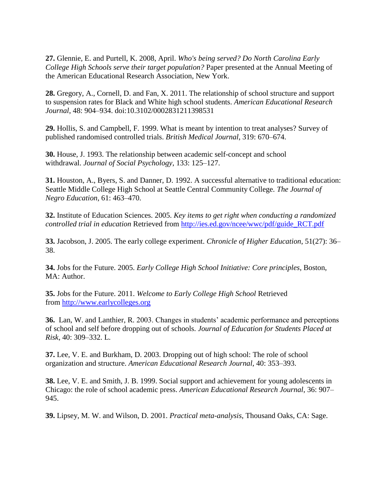**27.** Glennie, E. and Purtell, K. 2008, April. *Who's being served? Do North Carolina Early College High Schools serve their target population?* Paper presented at the Annual Meeting of the American Educational Research Association, New York.

**28.** Gregory, A., Cornell, D. and Fan, X. 2011. The relationship of school structure and support to suspension rates for Black and White high school students. *American Educational Research Journal*, 48: 904–934. doi:10.3102/0002831211398531

**29.** Hollis, S. and Campbell, F. 1999. What is meant by intention to treat analyses? Survey of published randomised controlled trials. *British Medical Journal*, 319: 670–674.

**30.** House, J. 1993. The relationship between academic self-concept and school withdrawal. *Journal of Social Psychology*, 133: 125–127.

**31.** Houston, A., Byers, S. and Danner, D. 1992. A successful alternative to traditional education: Seattle Middle College High School at Seattle Central Community College. *The Journal of Negro Education*, 61: 463–470.

**32.** Institute of Education Sciences. 2005. *Key items to get right when conducting a randomized controlled trial in education* Retrieved from [http://ies.ed.gov/ncee/wwc/pdf/guide\\_RCT.pdf](http://ies.ed.gov/ncee/wwc/pdf/guide_RCT.pdf)

**33.** Jacobson, J. 2005. The early college experiment. *Chronicle of Higher Education*, 51(27): 36– 38.

**34.** Jobs for the Future. 2005. *Early College High School Initiative: Core principles*, Boston, MA: Author.

**35.** Jobs for the Future. 2011. *Welcome to Early College High School* Retrieved from [http://www.earlycolleges.org](http://www.earlycolleges.org/)

**36.** Lan, W. and Lanthier, R. 2003. Changes in students' academic performance and perceptions of school and self before dropping out of schools. *Journal of Education for Students Placed at Risk*, 40: 309–332. L.

**37.** Lee, V. E. and Burkham, D. 2003. Dropping out of high school: The role of school organization and structure. *American Educational Research Journal*, 40: 353–393.

**38.** Lee, V. E. and Smith, J. B. 1999. Social support and achievement for young adolescents in Chicago: the role of school academic press. *American Educational Research Journal*, 36: 907– 945.

**39.** Lipsey, M. W. and Wilson, D. 2001. *Practical meta-analysis*, Thousand Oaks, CA: Sage.